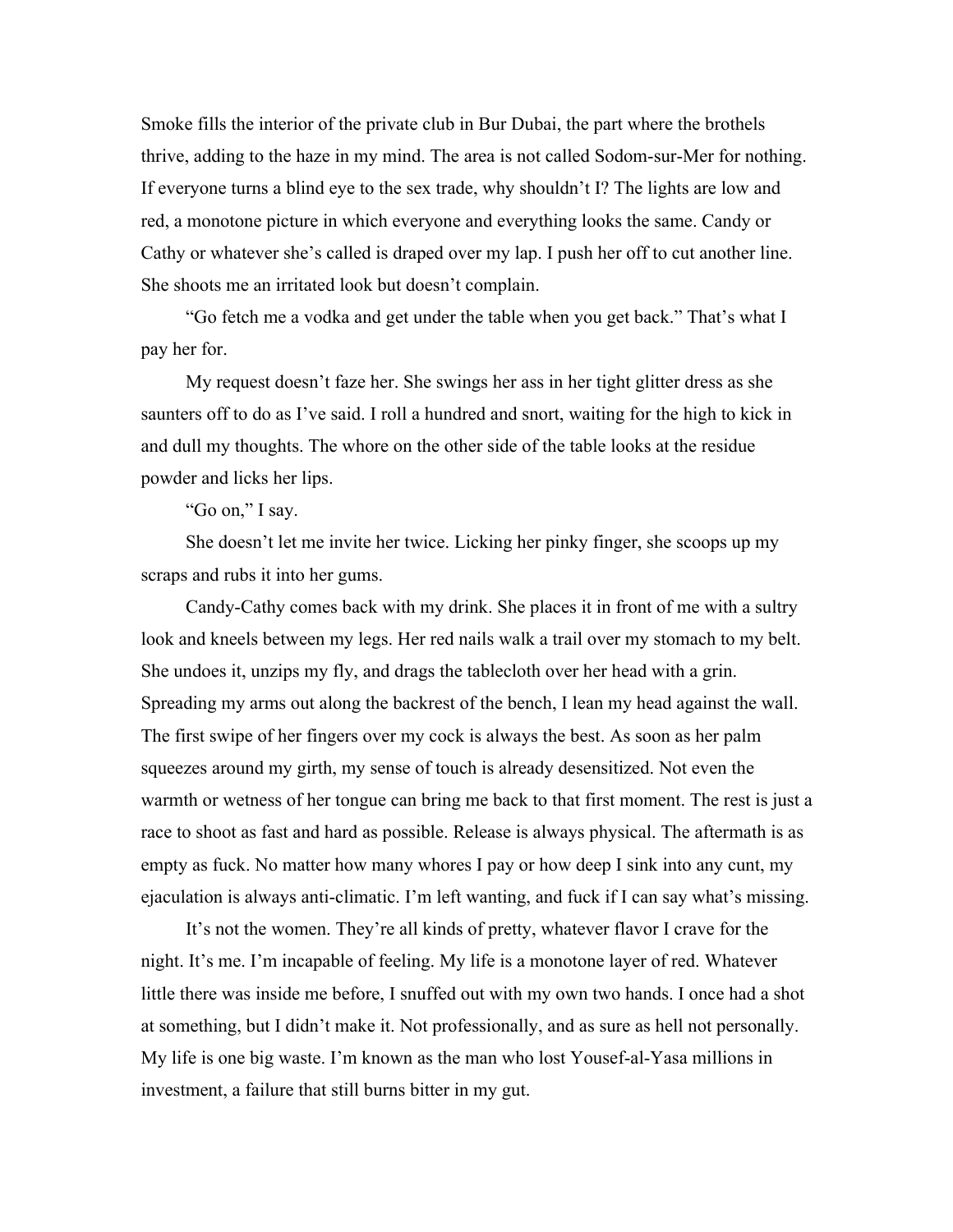Smoke fills the interior of the private club in Bur Dubai, the part where the brothels thrive, adding to the haze in my mind. The area is not called Sodom-sur-Mer for nothing. If everyone turns a blind eye to the sex trade, why shouldn't I? The lights are low and red, a monotone picture in which everyone and everything looks the same. Candy or Cathy or whatever she's called is draped over my lap. I push her off to cut another line. She shoots me an irritated look but doesn't complain.

"Go fetch me a vodka and get under the table when you get back." That's what I pay her for.

My request doesn't faze her. She swings her ass in her tight glitter dress as she saunters off to do as I've said. I roll a hundred and snort, waiting for the high to kick in and dull my thoughts. The whore on the other side of the table looks at the residue powder and licks her lips.

"Go on," I say.

She doesn't let me invite her twice. Licking her pinky finger, she scoops up my scraps and rubs it into her gums.

Candy-Cathy comes back with my drink. She places it in front of me with a sultry look and kneels between my legs. Her red nails walk a trail over my stomach to my belt. She undoes it, unzips my fly, and drags the tablecloth over her head with a grin. Spreading my arms out along the backrest of the bench, I lean my head against the wall. The first swipe of her fingers over my cock is always the best. As soon as her palm squeezes around my girth, my sense of touch is already desensitized. Not even the warmth or wetness of her tongue can bring me back to that first moment. The rest is just a race to shoot as fast and hard as possible. Release is always physical. The aftermath is as empty as fuck. No matter how many whores I pay or how deep I sink into any cunt, my ejaculation is always anti-climatic. I'm left wanting, and fuck if I can say what's missing.

It's not the women. They're all kinds of pretty, whatever flavor I crave for the night. It's me. I'm incapable of feeling. My life is a monotone layer of red. Whatever little there was inside me before, I snuffed out with my own two hands. I once had a shot at something, but I didn't make it. Not professionally, and as sure as hell not personally. My life is one big waste. I'm known as the man who lost Yousef-al-Yasa millions in investment, a failure that still burns bitter in my gut.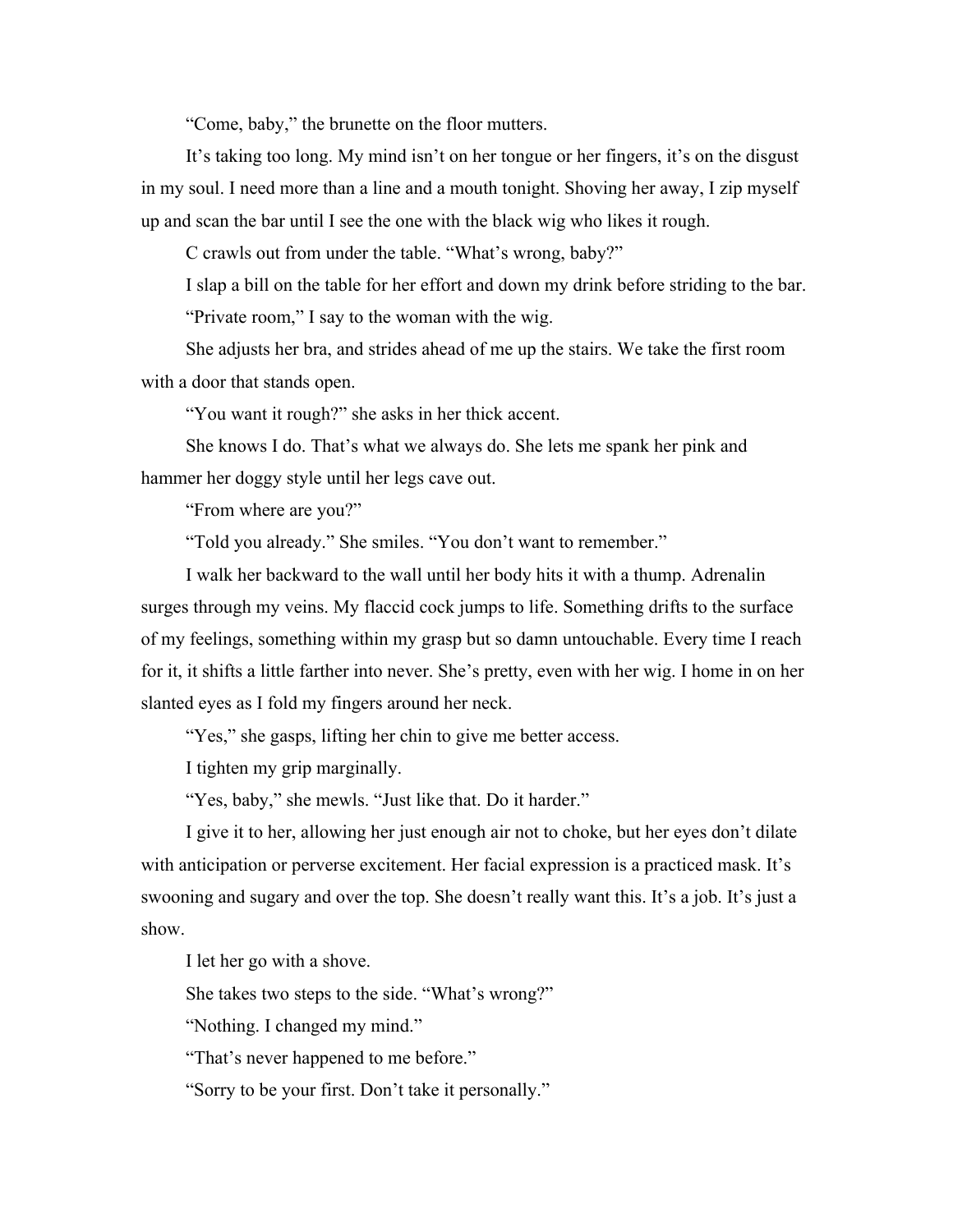"Come, baby," the brunette on the floor mutters.

It's taking too long. My mind isn't on her tongue or her fingers, it's on the disgust in my soul. I need more than a line and a mouth tonight. Shoving her away, I zip myself up and scan the bar until I see the one with the black wig who likes it rough.

C crawls out from under the table. "What's wrong, baby?"

I slap a bill on the table for her effort and down my drink before striding to the bar.

"Private room," I say to the woman with the wig.

She adjusts her bra, and strides ahead of me up the stairs. We take the first room with a door that stands open.

"You want it rough?" she asks in her thick accent.

She knows I do. That's what we always do. She lets me spank her pink and hammer her doggy style until her legs cave out.

"From where are you?"

"Told you already." She smiles. "You don't want to remember."

I walk her backward to the wall until her body hits it with a thump. Adrenalin surges through my veins. My flaccid cock jumps to life. Something drifts to the surface of my feelings, something within my grasp but so damn untouchable. Every time I reach for it, it shifts a little farther into never. She's pretty, even with her wig. I home in on her slanted eyes as I fold my fingers around her neck.

"Yes," she gasps, lifting her chin to give me better access.

I tighten my grip marginally.

"Yes, baby," she mewls. "Just like that. Do it harder."

I give it to her, allowing her just enough air not to choke, but her eyes don't dilate with anticipation or perverse excitement. Her facial expression is a practiced mask. It's swooning and sugary and over the top. She doesn't really want this. It's a job. It's just a show.

I let her go with a shove.

She takes two steps to the side. "What's wrong?"

"Nothing. I changed my mind."

"That's never happened to me before."

"Sorry to be your first. Don't take it personally."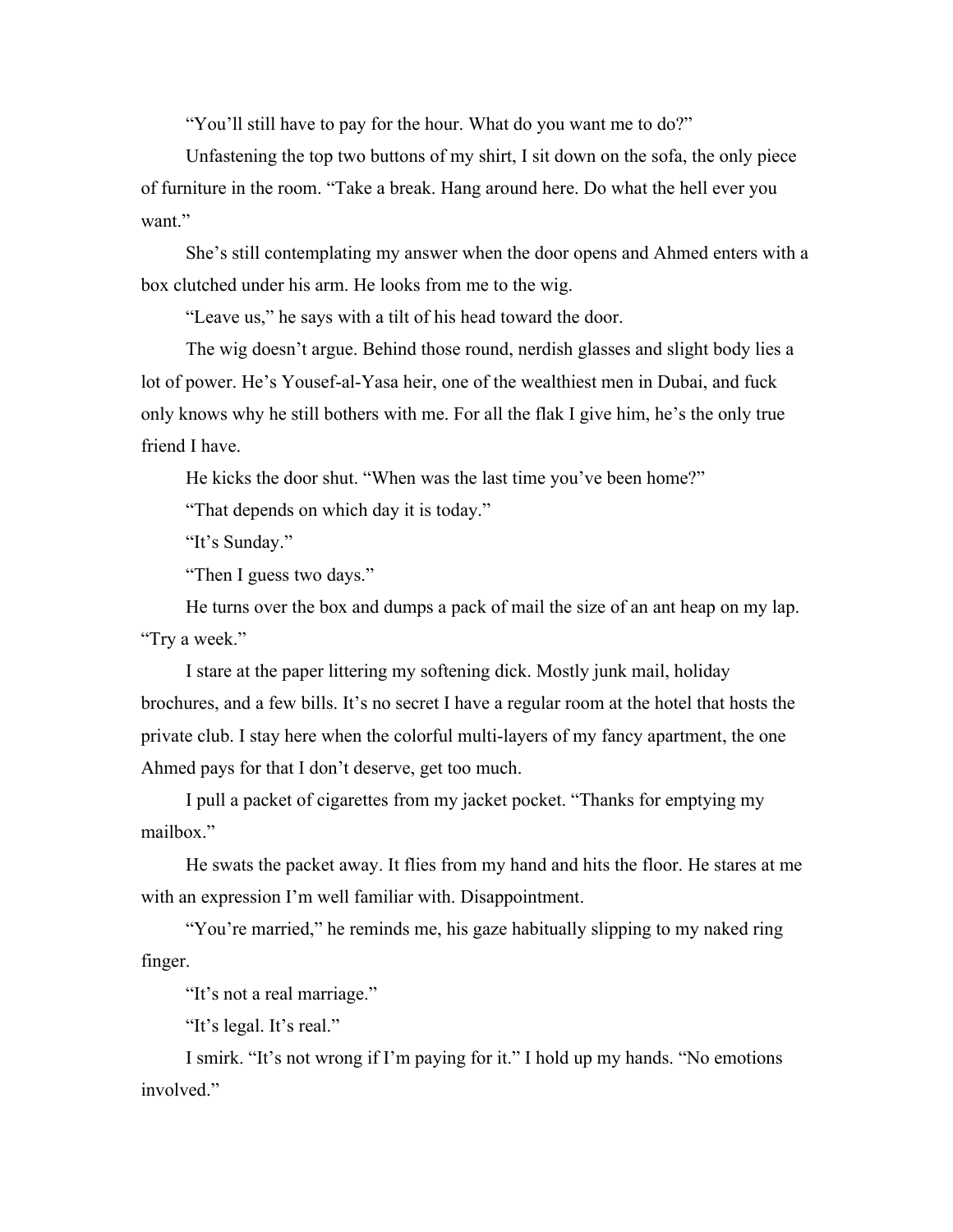"You'll still have to pay for the hour. What do you want me to do?"

Unfastening the top two buttons of my shirt, I sit down on the sofa, the only piece of furniture in the room. "Take a break. Hang around here. Do what the hell ever you want"

She's still contemplating my answer when the door opens and Ahmed enters with a box clutched under his arm. He looks from me to the wig.

"Leave us," he says with a tilt of his head toward the door.

The wig doesn't argue. Behind those round, nerdish glasses and slight body lies a lot of power. He's Yousef-al-Yasa heir, one of the wealthiest men in Dubai, and fuck only knows why he still bothers with me. For all the flak I give him, he's the only true friend I have.

He kicks the door shut. "When was the last time you've been home?"

"That depends on which day it is today."

"It's Sunday."

"Then I guess two days."

He turns over the box and dumps a pack of mail the size of an ant heap on my lap. "Try a week."

I stare at the paper littering my softening dick. Mostly junk mail, holiday brochures, and a few bills. It's no secret I have a regular room at the hotel that hosts the private club. I stay here when the colorful multi-layers of my fancy apartment, the one Ahmed pays for that I don't deserve, get too much.

I pull a packet of cigarettes from my jacket pocket. "Thanks for emptying my mailbox."

He swats the packet away. It flies from my hand and hits the floor. He stares at me with an expression I'm well familiar with. Disappointment.

"You're married," he reminds me, his gaze habitually slipping to my naked ring finger.

"It's not a real marriage."

"It's legal. It's real."

I smirk. "It's not wrong if I'm paying for it." I hold up my hands. "No emotions involved."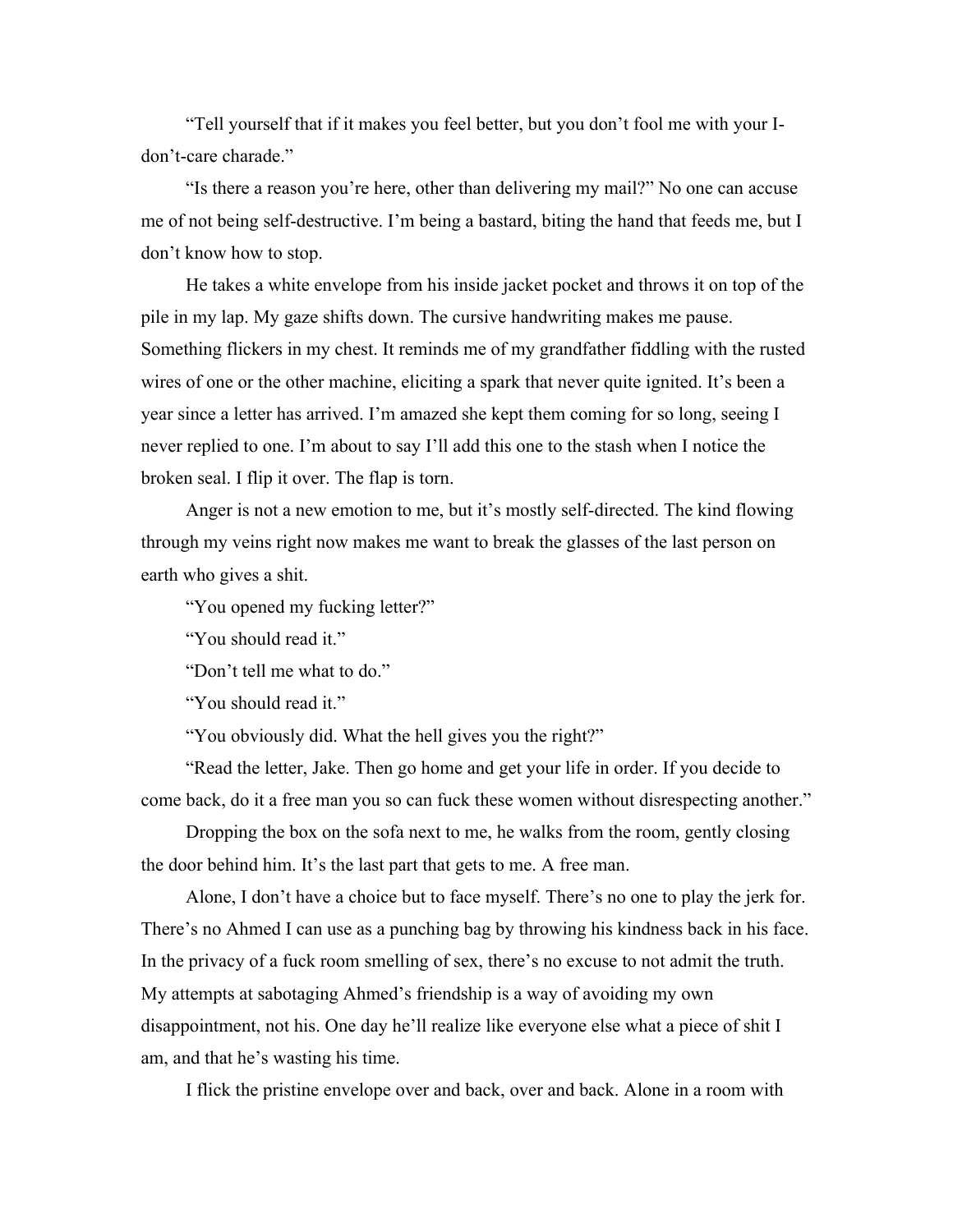"Tell yourself that if it makes you feel better, but you don't fool me with your Idon't-care charade."

"Is there a reason you're here, other than delivering my mail?" No one can accuse me of not being self-destructive. I'm being a bastard, biting the hand that feeds me, but I don't know how to stop.

He takes a white envelope from his inside jacket pocket and throws it on top of the pile in my lap. My gaze shifts down. The cursive handwriting makes me pause. Something flickers in my chest. It reminds me of my grandfather fiddling with the rusted wires of one or the other machine, eliciting a spark that never quite ignited. It's been a year since a letter has arrived. I'm amazed she kept them coming for so long, seeing I never replied to one. I'm about to say I'll add this one to the stash when I notice the broken seal. I flip it over. The flap is torn.

Anger is not a new emotion to me, but it's mostly self-directed. The kind flowing through my veins right now makes me want to break the glasses of the last person on earth who gives a shit.

"You opened my fucking letter?"

"You should read it."

"Don't tell me what to do."

"You should read it."

"You obviously did. What the hell gives you the right?"

"Read the letter, Jake. Then go home and get your life in order. If you decide to come back, do it a free man you so can fuck these women without disrespecting another."

Dropping the box on the sofa next to me, he walks from the room, gently closing the door behind him. It's the last part that gets to me. A free man.

Alone, I don't have a choice but to face myself. There's no one to play the jerk for. There's no Ahmed I can use as a punching bag by throwing his kindness back in his face. In the privacy of a fuck room smelling of sex, there's no excuse to not admit the truth. My attempts at sabotaging Ahmed's friendship is a way of avoiding my own disappointment, not his. One day he'll realize like everyone else what a piece of shit I am, and that he's wasting his time.

I flick the pristine envelope over and back, over and back. Alone in a room with